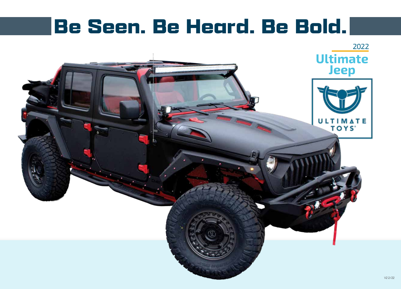### Be Seen. Be Heard. Be Bold.

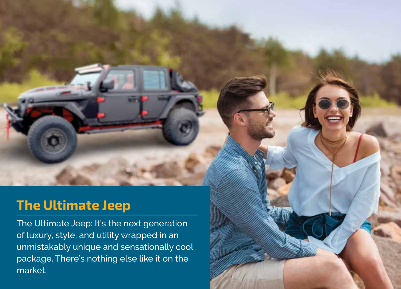#### <u>The Ultimate Jee</u> The Ultimate Jeep

The Ultimate Jeep is a statement piece from every anof luxury, style, and utility wrapped in an unmistakably unique and sensationally cool performance and interesting the set of the cooleration of the third the third the cooler this is not the coole package. There's nothing else like it on the The Ultimate Jeep: It's the next generation market.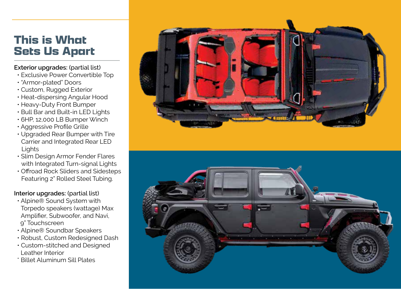### This is What Sets Us Apart

#### **Exterior upgrades:** (partial list)

- Exclusive Power Convertible Top
- "Armor-plated" Doors
- Custom, Rugged Exterior
- Heat-dispersing Angular Hood
- Heavy-Duty Front Bumper
- Bull Bar and Built-in LED Lights
- 6HP, 12,000 LB Bumper Winch
- Aggressive Profile Grille
- Upgraded Rear Bumper with Tire Carrier and Integrated Rear LED Lights
- Slim Design Armor Fender Flares with Integrated Turn-signal Lights
- Offroad Rock Sliders and Sidesteps Featuring 2" Rolled Steel Tubing.

#### **Interior upgrades:** (partial list)

- Alpine® Sound System with Torpedo speakers (wattage) Max Amplifier, Subwoofer, and Navi, 9" Touchscreen
- Alpine® Soundbar Speakers
- Robust, Custom Redesigned Dash
- Custom-stitched and Designed Leather Interior
- \* Billet Aluminum Sill Plates



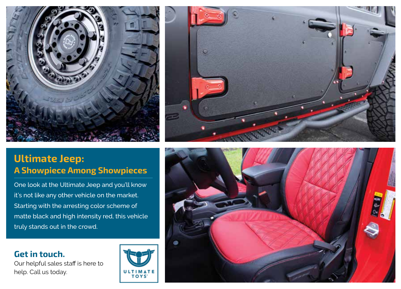



### Ultimate Jeep: A Showpiece Among Showpieces

One look at the Ultimate Jeep and you'll know it's not like any other vehicle on the market. Starting with the arresting color scheme of matte black and high intensity red, this vehicle truly stands out in the crowd.

#### Get in touch.

Our helpful sales staff is here to help. Call us today.



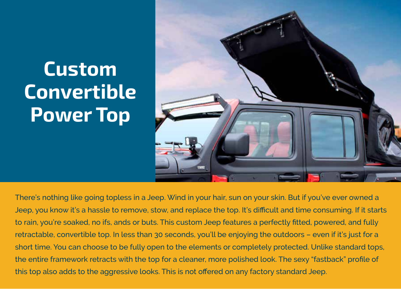## Custom **Convertible** Power Top



There's nothing like going topless in a Jeep. Wind in your hair, sun on your skin. But if you've ever owned a Jeep, you know it's a hassle to remove, stow, and replace the top. It's difficult and time consuming. If it starts to rain, you're soaked, no ifs, ands or buts. This custom Jeep features a perfectly fitted, powered, and fully retractable, convertible top. In less than 30 seconds, you'll be enjoying the outdoors – even if it's just for a short time. You can choose to be fully open to the elements or completely protected. Unlike standard tops, the entire framework retracts with the top for a cleaner, more polished look. The sexy "fastback" profile of this top also adds to the aggressive looks. This is not offered on any factory standard Jeep.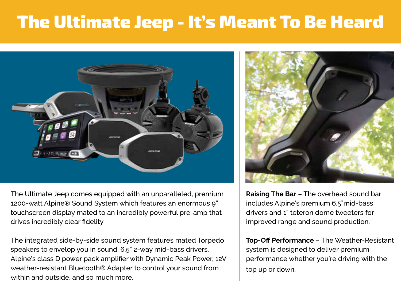### The Ultimate Jeep - It's Meant To Be Heard



The Ultimate Jeep comes equipped with an unparalleled, premium 1200-watt Alpine® Sound System which features an enormous 9" touchscreen display mated to an incredibly powerful pre-amp that drives incredibly clear fidelity.

The integrated side-by-side sound system features mated Torpedo speakers to envelop you in sound, 6.5" 2-way mid-bass drivers, Alpine's class D power pack amplifier with Dynamic Peak Power, 12V weather-resistant Bluetooth® Adapter to control your sound from within and outside, and so much more.



**Raising The Bar** – The overhead sound bar includes Alpine's premium 6.5"mid-bass drivers and 1" teteron dome tweeters for improved range and sound production.

**Top-Off Performance** – The Weather-Resistant system is designed to deliver premium performance whether you're driving with the top up or down.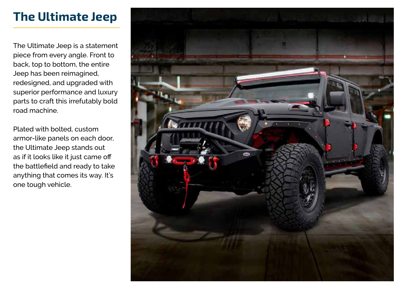### The Ultimate Jeep

The Ultimate Jeep is a statement piece from every angle. Front to back, top to bottom, the entire Jeep has been reimagined, redesigned, and upgraded with superior performance and luxury parts to craft this irrefutably bold road machine.

Plated with bolted, custom armor-like panels on each door, the Ultimate Jeep stands out as if it looks like it just came off the battlefield and ready to take anything that comes its way. It's one tough vehicle.